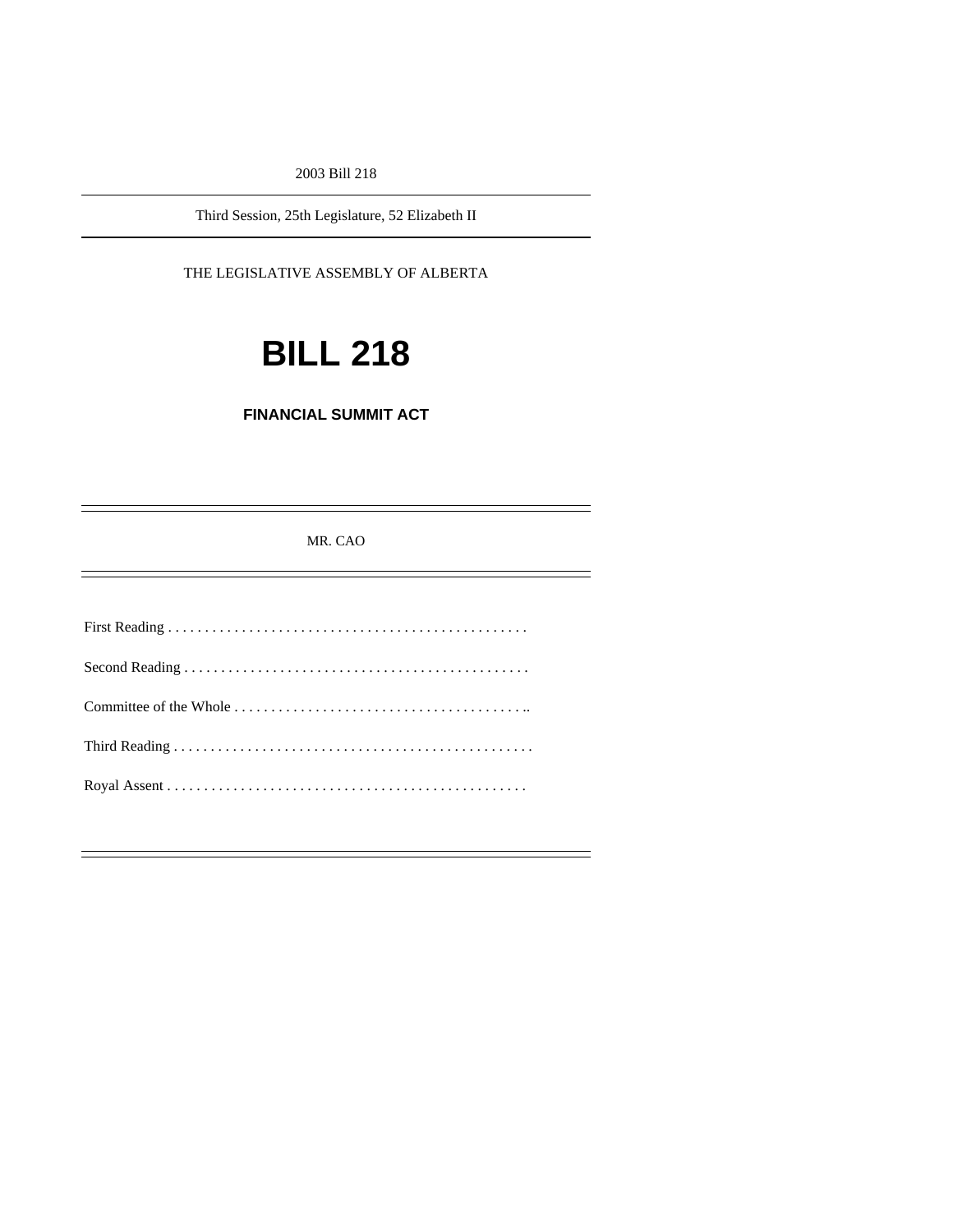2003 Bill 218

Third Session, 25th Legislature, 52 Elizabeth II

THE LEGISLATIVE ASSEMBLY OF ALBERTA

# **BILL 218**

**FINANCIAL SUMMIT ACT**

MR. CAO

۰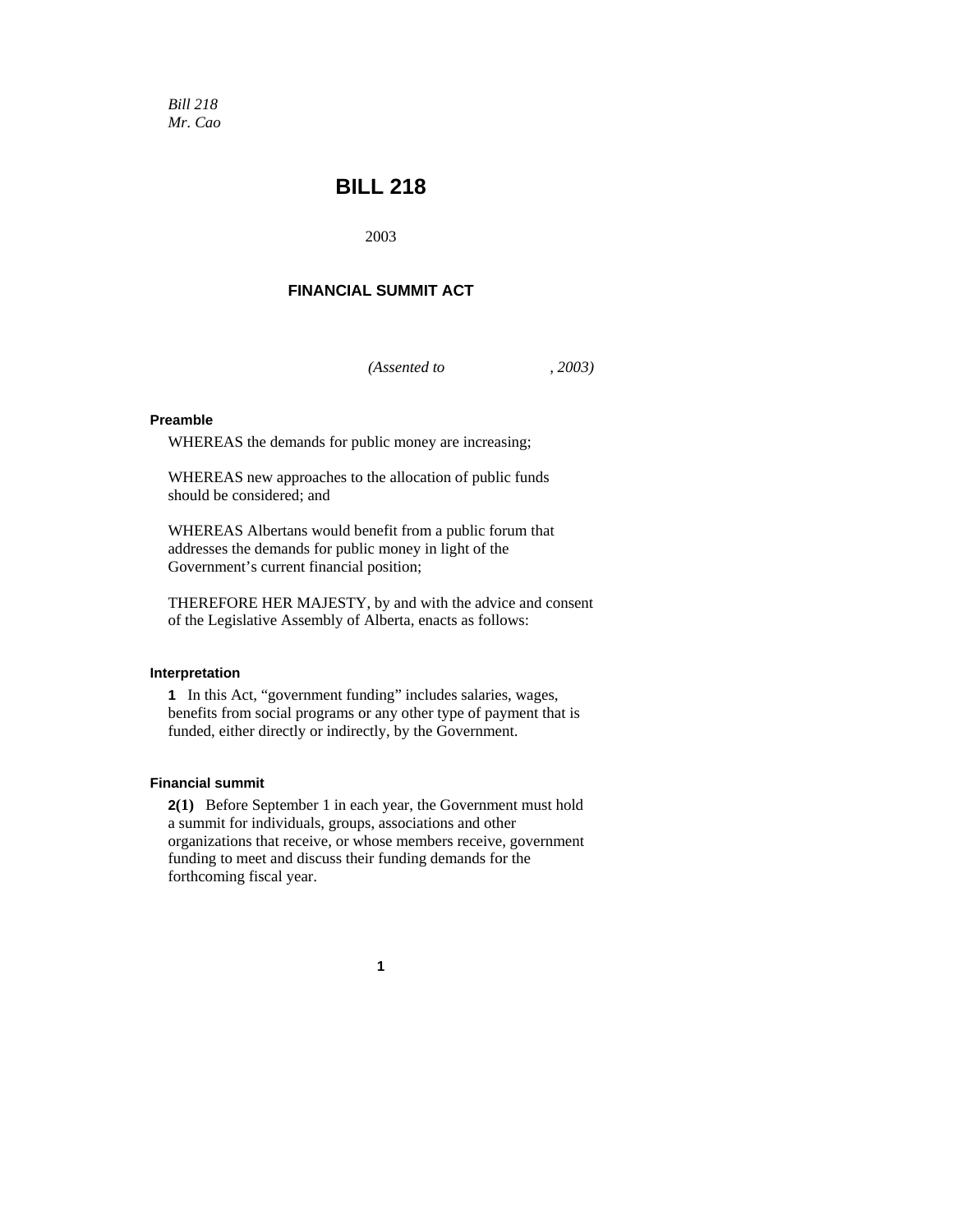*Bill 218 Mr. Cao* 

# **BILL 218**

2003

## **FINANCIAL SUMMIT ACT**

*(Assented to , 2003)* 

### **Preamble**

WHEREAS the demands for public money are increasing;

WHEREAS new approaches to the allocation of public funds should be considered; and

WHEREAS Albertans would benefit from a public forum that addresses the demands for public money in light of the Government's current financial position;

THEREFORE HER MAJESTY, by and with the advice and consent of the Legislative Assembly of Alberta, enacts as follows:

#### **Interpretation**

**1** In this Act, "government funding" includes salaries, wages, benefits from social programs or any other type of payment that is funded, either directly or indirectly, by the Government.

#### **Financial summit**

**2(1)** Before September 1 in each year, the Government must hold a summit for individuals, groups, associations and other organizations that receive, or whose members receive, government funding to meet and discuss their funding demands for the forthcoming fiscal year.

**1**